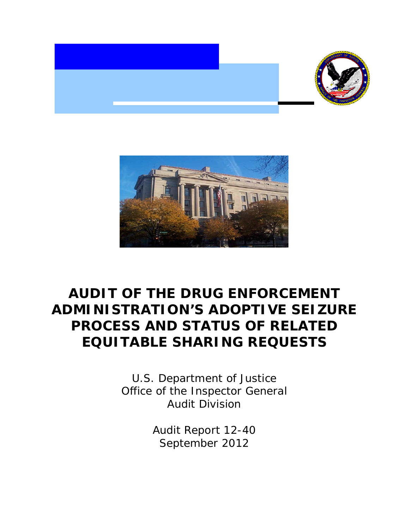



# **AUDIT OF THE DRUG ENFORCEMENT ADMINISTRATION'S ADOPTIVE SEIZURE PROCESS AND STATUS OF RELATED EQUITABLE SHARING REQUESTS**

 Office of the Inspector General U.S. Department of Justice Audit Division

> Audit Report 12-40 September 2012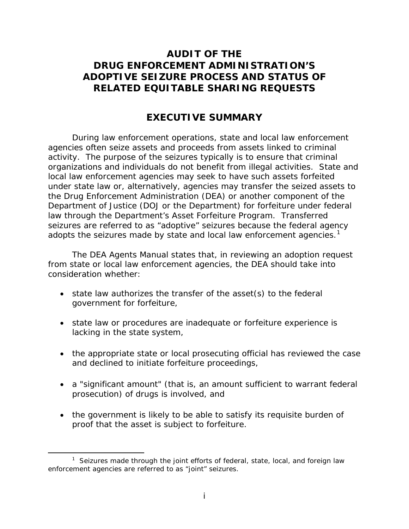### **AUDIT OF THE DRUG ENFORCEMENT ADMINISTRATION'S ADOPTIVE SEIZURE PROCESS AND STATUS OF RELATED EQUITABLE SHARING REQUESTS**

### **EXECUTIVE SUMMARY**

During law enforcement operations, state and local law enforcement agencies often seize assets and proceeds from assets linked to criminal activity. The purpose of the seizures typically is to ensure that criminal organizations and individuals do not benefit from illegal activities. State and local law enforcement agencies may seek to have such assets forfeited under state law or, alternatively, agencies may transfer the seized assets to the Drug Enforcement Administration (DEA) or another component of the Department of Justice (DOJ or the Department) for forfeiture under federal law through the Department's Asset Forfeiture Program. Transferred seizures are referred to as "adoptive" seizures because the federal agency adopts the seizures made by state and local law enforcement agencies.<sup>1</sup>

 from state or local law enforcement agencies, the DEA should take into The DEA Agents Manual states that, in reviewing an adoption request consideration whether:

- state law authorizes the transfer of the asset(s) to the federal government for forfeiture,
- state law or procedures are inadequate or forfeiture experience is lacking in the state system,
- the appropriate state or local prosecuting official has reviewed the case and declined to initiate forfeiture proceedings,
- a "significant amount" (that is, an amount sufficient to warrant federal prosecution) of drugs is involved, and
- the government is likely to be able to satisfy its requisite burden of proof that the asset is subject to forfeiture.

ı

<span id="page-1-0"></span><sup>&</sup>lt;sup>1</sup> Seizures made through the joint efforts of federal, state, local, and foreign law enforcement agencies are referred to as "joint" seizures.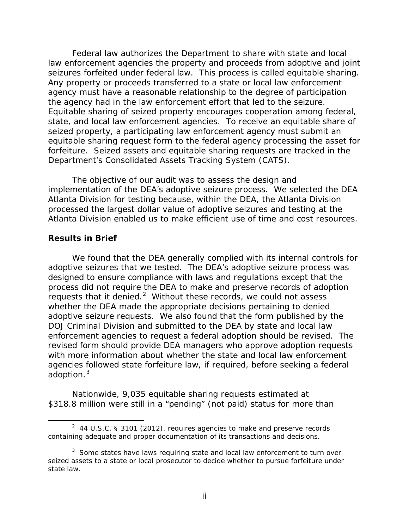the agency had in the law enforcement effort that led to the seizure. Department's Consolidated Assets Tracking System (CATS). Federal law authorizes the Department to share with state and local law enforcement agencies the property and proceeds from adoptive and joint seizures forfeited under federal law. This process is called equitable sharing. Any property or proceeds transferred to a state or local law enforcement agency must have a reasonable relationship to the degree of participation Equitable sharing of seized property encourages cooperation among federal, state, and local law enforcement agencies. To receive an equitable share of seized property, a participating law enforcement agency must submit an equitable sharing request form to the federal agency processing the asset for forfeiture. Seized assets and equitable sharing requests are tracked in the

The objective of our audit was to assess the design and implementation of the DEA's adoptive seizure process. We selected the DEA Atlanta Division for testing because, within the DEA, the Atlanta Division processed the largest dollar value of adoptive seizures and testing at the Atlanta Division enabled us to make efficient use of time and cost resources.

### **Results in Brief**

 $\overline{\phantom{0}}$ 

requests that it denied. $2$  Without these records, we could not assess adoptive seizure requests. We also found that the form published by the DOJ Criminal Division and submitted to the DEA by state and local law revised form should provide DEA managers who approve adoption requests adoption. $3$ We found that the DEA generally complied with its internal controls for adoptive seizures that we tested. The DEA's adoptive seizure process was designed to ensure compliance with laws and regulations except that the process did not require the DEA to make and preserve records of adoption whether the DEA made the appropriate decisions pertaining to denied enforcement agencies to request a federal adoption should be revised. The with more information about whether the state and local law enforcement agencies followed state forfeiture law, if required, before seeking a federal

Nationwide, 9,035 equitable sharing requests estimated at \$318.8 million were still in a "pending" (not paid) status for more than

<span id="page-2-0"></span><sup>&</sup>lt;sup>2</sup> 44 U.S.C. § 3101 (2012), requires agencies to make and preserve records containing adequate and proper documentation of its transactions and decisions.

<span id="page-2-1"></span> $3$  Some states have laws requiring state and local law enforcement to turn over seized assets to a state or local prosecutor to decide whether to pursue forfeiture under state law.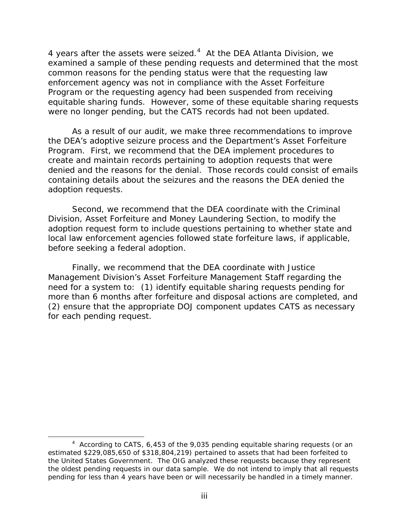[4](#page-3-0) years after the assets were seized. $4$  At the DEA Atlanta Division, we enforcement agency was not in compliance with the Asset Forfeiture equitable sharing funds. However, some of these equitable sharing requests examined a sample of these pending requests and determined that the most common reasons for the pending status were that the requesting law Program or the requesting agency had been suspended from receiving were no longer pending, but the CATS records had not been updated.

 As a result of our audit, we make three recommendations to improve denied and the reasons for the denial. Those records could consist of emails adoption requests. adoption requests.<br>Second, we recommend that the DEA coordinate with the Criminal the DEA's adoptive seizure process and the Department's Asset Forfeiture Program. First, we recommend that the DEA implement procedures to create and maintain records pertaining to adoption requests that were containing details about the seizures and the reasons the DEA denied the

before seeking a federal adoption. Division, Asset Forfeiture and Money Laundering Section, to modify the adoption request form to include questions pertaining to whether state and local law enforcement agencies followed state forfeiture laws, if applicable,

 need for a system to: (1) identify equitable sharing requests pending for Finally, we recommend that the DEA coordinate with Justice Management Division's Asset Forfeiture Management Staff regarding the more than 6 months after forfeiture and disposal actions are completed, and (2) ensure that the appropriate DOJ component updates CATS as necessary for each pending request.

 $\overline{\phantom{0}}$ 

<span id="page-3-0"></span> $4$  According to CATS, 6,453 of the 9,035 pending equitable sharing requests (or an estimated \$229,085,650 of \$318,804,219) pertained to assets that had been forfeited to the United States Government. The OIG analyzed these requests because they represent the oldest pending requests in our data sample. We do not intend to imply that all requests pending for less than 4 years have been or will necessarily be handled in a timely manner.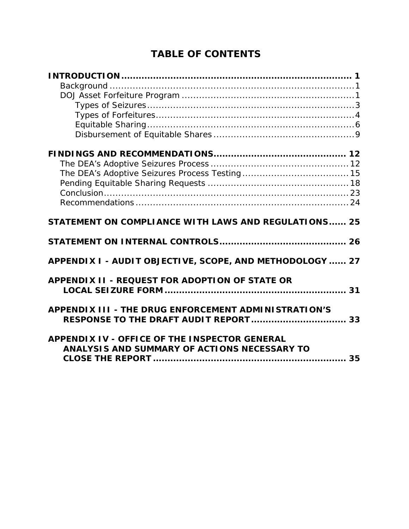# **TABLE OF CONTENTS**

| STATEMENT ON COMPLIANCE WITH LAWS AND REGULATIONS 25                                                 |  |
|------------------------------------------------------------------------------------------------------|--|
|                                                                                                      |  |
| APPENDIX I - AUDIT OBJECTIVE, SCOPE, AND METHODOLOGY  27                                             |  |
| APPENDIX II - REQUEST FOR ADOPTION OF STATE OR                                                       |  |
| APPENDIX III - THE DRUG ENFORCEMENT ADMINISTRATION'S                                                 |  |
| <b>APPENDIX IV - OFFICE OF THE INSPECTOR GENERAL</b><br>ANALYSIS AND SUMMARY OF ACTIONS NECESSARY TO |  |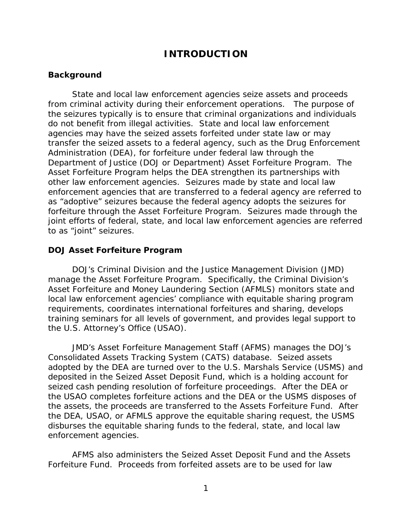### **INTRODUCTION**

### <span id="page-5-1"></span><span id="page-5-0"></span>**Background**

 from criminal activity during their enforcement operations. The purpose of agencies may have the seized assets forfeited under state law or may Department of Justice (DOJ or Department) Asset Forfeiture Program. The Asset Forfeiture Program helps the DEA strengthen its partnerships with other law enforcement agencies. Seizures made by state and local law State and local law enforcement agencies seize assets and proceeds the seizures typically is to ensure that criminal organizations and individuals do not benefit from illegal activities. State and local law enforcement transfer the seized assets to a federal agency, such as the Drug Enforcement Administration (DEA), for forfeiture under federal law through the enforcement agencies that are transferred to a federal agency are referred to as "adoptive" seizures because the federal agency adopts the seizures for forfeiture through the Asset Forfeiture Program. Seizures made through the joint efforts of federal, state, and local law enforcement agencies are referred to as "joint" seizures.

#### <span id="page-5-2"></span>**DOJ Asset Forfeiture Program**

 training seminars for all levels of government, and provides legal support to DOJ's Criminal Division and the Justice Management Division (JMD) manage the Asset Forfeiture Program. Specifically, the Criminal Division's Asset Forfeiture and Money Laundering Section (AFMLS) monitors state and local law enforcement agencies' compliance with equitable sharing program requirements, coordinates international forfeitures and sharing, develops the U.S. Attorney's Office (USAO).

 JMD's Asset Forfeiture Management Staff (AFMS) manages the DOJ's Consolidated Assets Tracking System (CATS) database. Seized assets disburses the equitable sharing funds to the federal, state, and local law adopted by the DEA are turned over to the U.S. Marshals Service (USMS) and deposited in the Seized Asset Deposit Fund, which is a holding account for seized cash pending resolution of forfeiture proceedings. After the DEA or the USAO completes forfeiture actions and the DEA or the USMS disposes of the assets, the proceeds are transferred to the Assets Forfeiture Fund. After the DEA, USAO, or AFMLS approve the equitable sharing request, the USMS enforcement agencies.

AFMS also administers the Seized Asset Deposit Fund and the Assets Forfeiture Fund. Proceeds from forfeited assets are to be used for law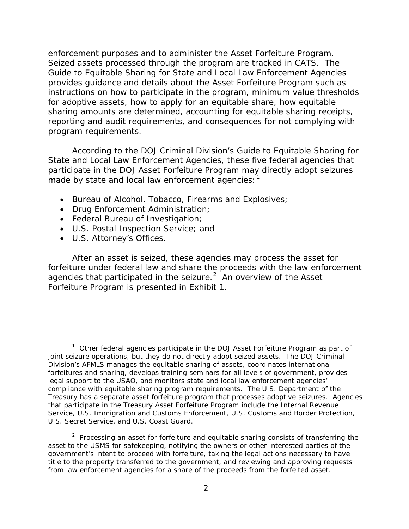instructions on how to participate in the program, minimum value thresholds enforcement purposes and to administer the Asset Forfeiture Program. Seized assets processed through the program are tracked in CATS. The Guide to Equitable Sharing for State and Local Law Enforcement Agencies provides guidance and details about the Asset Forfeiture Program such as for adoptive assets, how to apply for an equitable share, how equitable sharing amounts are determined, accounting for equitable sharing receipts, reporting and audit requirements, and consequences for not complying with program requirements.

According to the DOJ Criminal Division's Guide to Equitable Sharing for State and Local Law Enforcement Agencies, these five federal agencies that participate in the DOJ Asset Forfeiture Program may directly adopt seizures made by state and local law enforcement agencies:

- Bureau of Alcohol, Tobacco, Firearms and Explosives;
- Drug Enforcement Administration;
- Federal Bureau of Investigation;
- U.S. Postal Inspection Service; and
- U.S. Attorney's Offices.

 $\overline{\phantom{0}}$ 

agencies that participated in the seizure. $2$  An overview of the Asset After an asset is seized, these agencies may process the asset for forfeiture under federal law and share the proceeds with the law enforcement Forfeiture Program is presented in Exhibit 1.

<span id="page-6-0"></span> $1$  Other federal agencies participate in the DOJ Asset Forfeiture Program as part of joint seizure operations, but they do not directly adopt seized assets. The DOJ Criminal Division's AFMLS manages the equitable sharing of assets, coordinates international forfeitures and sharing, develops training seminars for all levels of government, provides legal support to the USAO, and monitors state and local law enforcement agencies' compliance with equitable sharing program requirements. The U.S. Department of the Treasury has a separate asset forfeiture program that processes adoptive seizures. Agencies that participate in the Treasury Asset Forfeiture Program include the Internal Revenue U.S. Secret Service, and U.S. Coast Guard. Service, U.S. Immigration and Customs Enforcement, U.S. Customs and Border Protection,

<span id="page-6-1"></span> $2$  Processing an asset for forfeiture and equitable sharing consists of transferring the asset to the USMS for safekeeping, notifying the owners or other interested parties of the government's intent to proceed with forfeiture, taking the legal actions necessary to have title to the property transferred to the government, and reviewing and approving requests from law enforcement agencies for a share of the proceeds from the forfeited asset.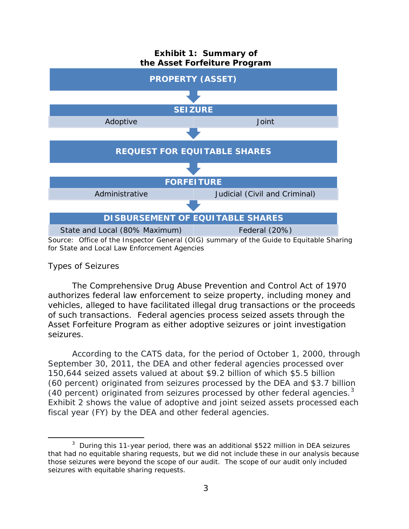

#### <span id="page-7-0"></span>*Types of Seizures*

 $\overline{\phantom{0}}$ 

 of such transactions. Federal agencies process seized assets through the The Comprehensive Drug Abuse Prevention and Control Act of 1970 authorizes federal law enforcement to seize property, including money and vehicles, alleged to have facilitated illegal drug transactions or the proceeds Asset Forfeiture Program as either adoptive seizures or joint investigation seizures.

(40 percent) originated from seizures processed by other federal agencies. $3$ According to the CATS data, for the period of October 1, 2000, through September 30, 2011, the DEA and other federal agencies processed over 150,644 seized assets valued at about \$9.2 billion of which \$5.5 billion (60 percent) originated from seizures processed by the DEA and \$3.7 billion Exhibit 2 shows the value of adoptive and joint seized assets processed each fiscal year (FY) by the DEA and other federal agencies.

<span id="page-7-1"></span> $3$  During this 11-year period, there was an additional \$522 million in DEA seizures that had no equitable sharing requests, but we did not include these in our analysis because those seizures were beyond the scope of our audit. The scope of our audit only included seizures with equitable sharing requests.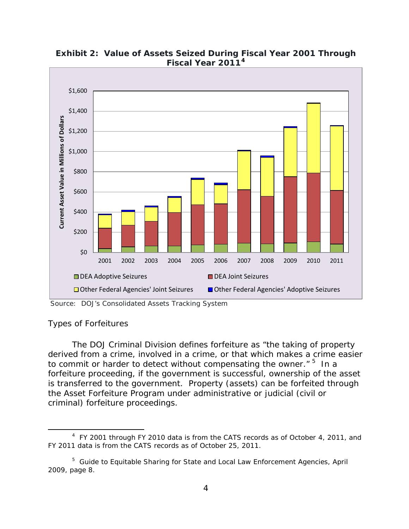

**Exhibit 2: Value of Assets Seized During Fiscal Year 2001 Through Fiscal Year 2011[4](#page-8-1)** 

Source: DOJ's Consolidated Assets Tracking System

### <span id="page-8-0"></span>*Types of Forfeitures*

ı

to commit or harder to detect without compensating the owner." <sup>5</sup> In a The DOJ Criminal Division defines forfeiture as "the taking of property derived from a crime, involved in a crime, or that which makes a crime easier forfeiture proceeding, if the government is successful, ownership of the asset is transferred to the government. Property (assets) can be forfeited through the Asset Forfeiture Program under administrative or judicial (civil or criminal) forfeiture proceedings.

<span id="page-8-1"></span> $4$  FY 2001 through FY 2010 data is from the CATS records as of October 4, 2011, and FY 2011 data is from the CATS records as of October 25, 2011.

<span id="page-8-2"></span> <sup>5</sup>*Guide to Equitable Sharing for State and Local Law Enforcement Agencies*, April 2009, page 8. 2009, page 8. 4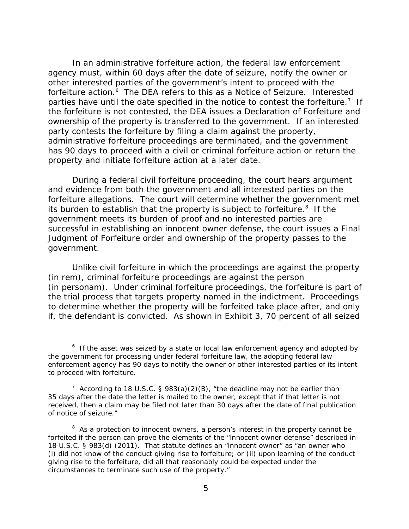other interested parties of the government's intent to proceed with the forfeiture action.<sup>[6](#page-9-0)</sup> The DEA refers to this as a Notice of Seizure. Interested parties have until the date specified in the notice to contest the forfeiture.<sup>[7](#page-9-1)</sup> If party contests the forfeiture by filing a claim against the property, In an administrative forfeiture action, the federal law enforcement agency must, within 60 days after the date of seizure, notify the owner or the forfeiture is not contested, the DEA issues a Declaration of Forfeiture and ownership of the property is transferred to the government. If an interested administrative forfeiture proceedings are terminated, and the government has 90 days to proceed with a civil or criminal forfeiture action or return the property and initiate forfeiture action at a later date.

 During a federal civil forfeiture proceeding, the court hears argument its burden to establish that the property is subject to forfeiture.<sup>8</sup> If the government meets its burden of proof and no interested parties are and evidence from both the government and all interested parties on the forfeiture allegations. The court will determine whether the government met successful in establishing an innocent owner defense, the court issues a Final Judgment of Forfeiture order and ownership of the property passes to the government.

 if, the defendant is convicted. As shown in Exhibit 3, 70 percent of all seized Unlike civil forfeiture in which the proceedings are against the property (in rem), criminal forfeiture proceedings are against the person (in personam). Under criminal forfeiture proceedings, the forfeiture is part of the trial process that targets property named in the indictment. Proceedings to determine whether the property will be forfeited take place after, and only

 $\overline{\phantom{0}}$ 

<span id="page-9-0"></span> $6$  If the asset was seized by a state or local law enforcement agency and adopted by the government for processing under federal forfeiture law, the adopting federal law enforcement agency has 90 days to notify the owner or other interested parties of its intent to proceed with forfeiture.

<span id="page-9-1"></span><sup>&</sup>lt;sup>7</sup> According to 18 U.S.C. § 983(a)(2)(B), "the deadline may not be earlier than 35 days after the date the letter is mailed to the owner, except that if that letter is not received, then a claim may be filed not later than 30 days after the date of final publication of notice of seizure."

<span id="page-9-2"></span> $8$  As a protection to innocent owners, a person's interest in the property cannot be forfeited if the person can prove the elements of the "innocent owner defense" described in 18 U.S.C. § 983(d) (2011). That statute defines an "innocent owner" as "an owner who (i) did not know of the conduct giving rise to forfeiture; or (ii) upon learning of the conduct giving rise to the forfeiture, did all that reasonably could be expected under the circumstances to terminate such use of the property."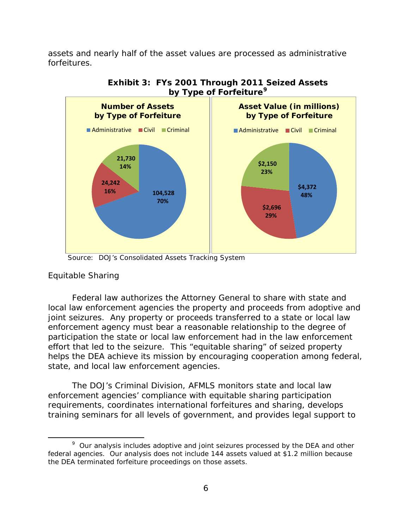assets and nearly half of the asset values are processed as administrative forfeitures.





### <span id="page-10-0"></span>*Equitable Sharing*

 $\overline{\phantom{0}}$ 

Federal law authorizes the Attorney General to share with state and local law enforcement agencies the property and proceeds from adoptive and joint seizures. Any property or proceeds transferred to a state or local law enforcement agency must bear a reasonable relationship to the degree of participation the state or local law enforcement had in the law enforcement effort that led to the seizure. This "equitable sharing" of seized property helps the DEA achieve its mission by encouraging cooperation among federal, state, and local law enforcement agencies.

 The DOJ's Criminal Division, AFMLS monitors state and local law training seminars for all levels of government, and provides legal support to enforcement agencies' compliance with equitable sharing participation requirements, coordinates international forfeitures and sharing, develops

Source: DOJ's Consolidated Assets Tracking System

<span id="page-10-1"></span> $9$  Our analysis includes adoptive and joint seizures processed by the DEA and other federal agencies. Our analysis does not include 144 assets valued at \$1.2 million because the DEA terminated forfeiture proceedings on those assets.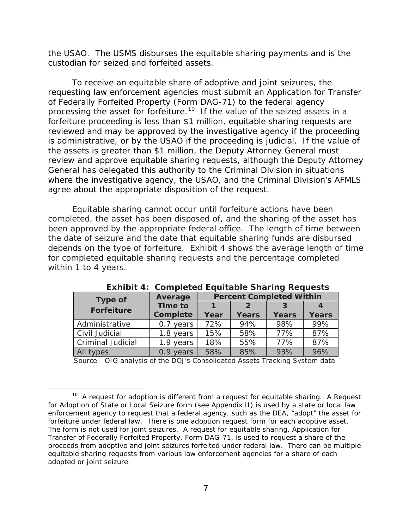the USAO. The USMS disburses the equitable sharing payments and is the custodian for seized and forfeited assets.

processing the asset for forfeiture.<sup>10</sup> If the value of the seized assets in a To receive an equitable share of adoptive and joint seizures, the requesting law enforcement agencies must submit an Application for Transfer of Federally Forfeited Property (Form DAG-71) to the federal agency forfeiture proceeding is less than \$1 million, equitable sharing requests are reviewed and may be approved by the investigative agency if the proceeding is administrative, or by the USAO if the proceeding is judicial. If the value of the assets is greater than \$1 million, the Deputy Attorney General must review and approve equitable sharing requests, although the Deputy Attorney General has delegated this authority to the Criminal Division in situations where the investigative agency, the USAO, and the Criminal Division's AFMLS agree about the appropriate disposition of the request.

 been approved by the appropriate federal office. The length of time between depends on the type of forfeiture. Exhibit 4 shows the average length of time within 1 to 4 years. Equitable sharing cannot occur until forfeiture actions have been completed, the asset has been disposed of, and the sharing of the asset has the date of seizure and the date that equitable sharing funds are disbursed for completed equitable sharing requests and the percentage completed

| <b>Percent Completed Within</b><br>Average<br><b>Type of</b> |                           |      |               |              |              |
|--------------------------------------------------------------|---------------------------|------|---------------|--------------|--------------|
| <b>Forfeiture</b>                                            | <b>Time to</b>            |      | $\mathcal{P}$ | 3            |              |
|                                                              | <b>Complete</b>           | Year | <b>Years</b>  | <b>Years</b> | <b>Years</b> |
| Administrative                                               | 0.7 years                 | 72%  | 94%           | 98%          | 99%          |
| Civil Judicial                                               | 1.8 years                 | 15%  | 58%           | 77%          | 87%          |
| <b>Criminal Judicial</b>                                     | 1.9 years                 | 18%  | 55%           | 77%          | 87%          |
| All types                                                    | 0.9 <sup>°</sup><br>vears | 58%  | 85%           | 93%          | 96%          |

**Exhibit 4: Completed Equitable Sharing Requests** 

Source: OIG analysis of the DOJ's Consolidated Assets Tracking System data

ı

<span id="page-11-0"></span> $10$  A request for adoption is different from a request for equitable sharing. A Request for Adoption of State or Local Seizure form (see Appendix II) is used by a state or local law enforcement agency to request that a federal agency, such as the DEA, "adopt" the asset for forfeiture under federal law. There is one adoption request form for each adoptive asset. The form is not used for joint seizures. A request for equitable sharing, Application for Transfer of Federally Forfeited Property, Form DAG-71, is used to request a share of the proceeds from adoptive and joint seizures forfeited under federal law. There can be multiple equitable sharing requests from various law enforcement agencies for a share of each adopted or joint seizure.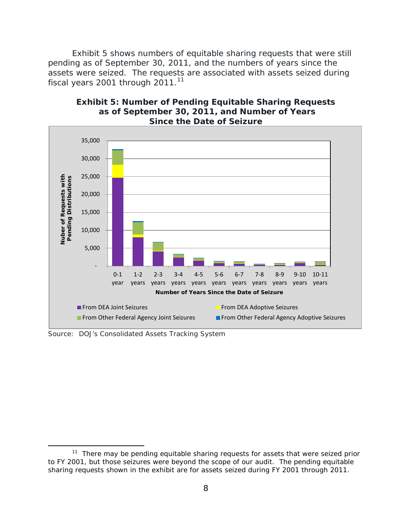Exhibit 5 shows numbers of equitable sharing requests that were still fiscal years 2001 through 2011. $11$ pending as of September 30, 2011, and the numbers of years since the assets were seized. The requests are associated with assets seized during



#### **Exhibit 5: Number of Pending Equitable Sharing Requests as of September 30, 2011, and Number of Years Since the Date of Seizure**

Source: DOJ's Consolidated Assets Tracking System

ı

<span id="page-12-0"></span> $11$  There may be pending equitable sharing requests for assets that were seized prior to FY 2001, but those seizures were beyond the scope of our audit. The pending equitable sharing requests shown in the exhibit are for assets seized during FY 2001 through 2011.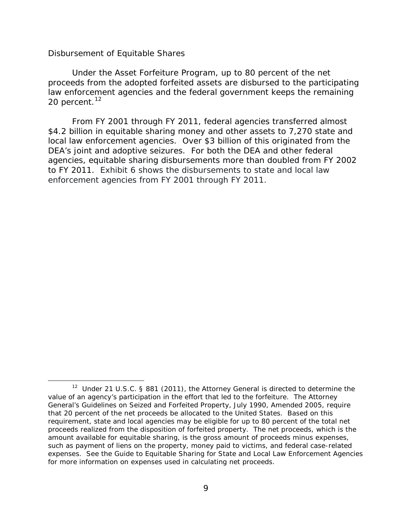#### <span id="page-13-0"></span>*Disbursement of Equitable Shares*

 $\overline{\phantom{0}}$ 

20 percent.<sup>[12](#page-13-1)</sup> Under the Asset Forfeiture Program, up to 80 percent of the net proceeds from the adopted forfeited assets are disbursed to the participating law enforcement agencies and the federal government keeps the remaining

 to FY 2011. Exhibit 6 shows the disbursements to state and local law From FY 2001 through FY 2011, federal agencies transferred almost \$4.2 billion in equitable sharing money and other assets to 7,270 state and local law enforcement agencies. Over \$3 billion of this originated from the DEA's joint and adoptive seizures. For both the DEA and other federal agencies, equitable sharing disbursements more than doubled from FY 2002 enforcement agencies from FY 2001 through FY 2011.

<span id="page-13-1"></span><sup>&</sup>lt;sup>12</sup> Under 21 U.S.C. § 881 (2011), the Attorney General is directed to determine the value of an agency's participation in the effort that led to the forfeiture. The Attorney General's Guidelines on Seized and Forfeited Property, July 1990, Amended 2005*,* require that 20 percent of the net proceeds be allocated to the United States. Based on this requirement, state and local agencies may be eligible for up to 80 percent of the total net proceeds realized from the disposition of forfeited property. The net proceeds, which is the amount available for equitable sharing, is the gross amount of proceeds minus expenses, such as payment of liens on the property, money paid to victims, and federal case-related expenses. See the Guide to Equitable Sharing for State and Local Law Enforcement Agencies for more information on expenses used in calculating net proceeds.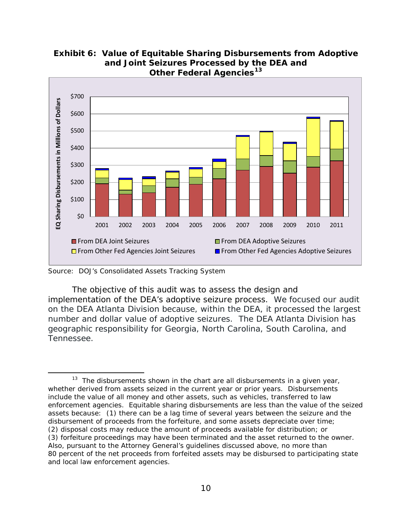

 **Exhibit 6: Value of Equitable Sharing Disbursements from Adoptive and Joint Seizures Processed by the DEA and Other Federal Agencies[13](#page-14-0)** 

ı

 number and dollar value of adoptive seizures. The DEA Atlanta Division has geographic responsibility for Georgia, North Carolina, South Carolina, and **Tennessee** Tennessee.<br>13 The disbursements shown in the chart are all disbursements in a given year, The objective of this audit was to assess the design and implementation of the DEA's adoptive seizure process. We focused our audit on the DEA Atlanta Division because, within the DEA, it processed the largest

 Source: DOJ's Consolidated Assets Tracking System

<span id="page-14-0"></span> whether derived from assets seized in the current year or prior years. Disbursements include the value of all money and other assets, such as vehicles, transferred to law enforcement agencies. Equitable sharing disbursements are less than the value of the seized assets because: (1) there can be a lag time of several years between the seizure and the disbursement of proceeds from the forfeiture, and some assets depreciate over time; (2) disposal costs may reduce the amount of proceeds available for distribution; or (3) forfeiture proceedings may have been terminated and the asset returned to the owner. Also, pursuant to the Attorney General's guidelines discussed above, no more than 80 percent of the net proceeds from forfeited assets may be disbursed to participating state and local law enforcement agencies.<br>10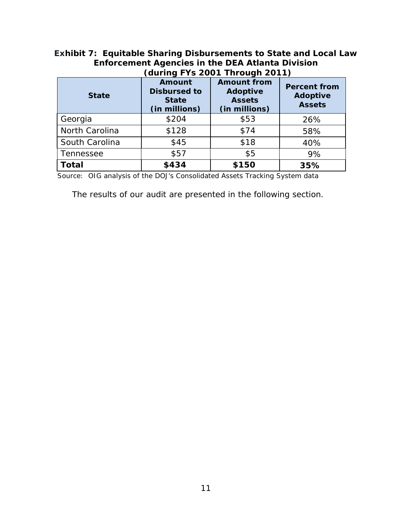### **Exhibit 7: Equitable Sharing Disbursements to State and Local Law Enforcement Agencies in the DEA Atlanta Division (during FYs 2001 Through 2011)**

| <b>State</b>   | <b>Amount from</b><br><b>Amount</b><br><b>Disbursed to</b><br><b>Adoptive</b><br><b>Assets</b><br><b>State</b><br>(in millions)<br>(in millions) |       | <b>Percent from</b><br><b>Adoptive</b><br><b>Assets</b> |
|----------------|--------------------------------------------------------------------------------------------------------------------------------------------------|-------|---------------------------------------------------------|
| Georgia        | \$204                                                                                                                                            | \$53  | 26%                                                     |
| North Carolina | \$128                                                                                                                                            | \$74  | 58%                                                     |
| South Carolina | \$45                                                                                                                                             | \$18  | 40%                                                     |
| Tennessee      | \$57                                                                                                                                             | \$5   | 9%                                                      |
| Total          | \$434                                                                                                                                            | \$150 | 35%                                                     |

Source: OIG analysis of the DOJ's Consolidated Assets Tracking System data

The results of our audit are presented in the following section.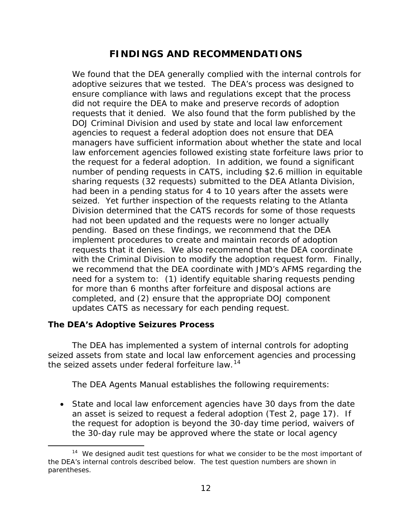### **FINDINGS AND RECOMMENDATIONS**

<span id="page-16-0"></span> ensure compliance with laws and regulations except that the process managers have sufficient information about whether the state and local the request for a federal adoption. In addition, we found a significant pending. Based on these findings, we recommend that the DEA we recommend that the DEA coordinate with JMD's AFMS regarding the need for a system to: (1) identify equitable sharing requests pending updates CATS as necessary for each pending request. We found that the DEA generally complied with the internal controls for adoptive seizures that we tested. The DEA's process was designed to did not require the DEA to make and preserve records of adoption requests that it denied. We also found that the form published by the DOJ Criminal Division and used by state and local law enforcement agencies to request a federal adoption does not ensure that DEA law enforcement agencies followed existing state forfeiture laws prior to number of pending requests in CATS, including \$2.6 million in equitable sharing requests (32 requests) submitted to the DEA Atlanta Division, had been in a pending status for 4 to 10 years after the assets were seized. Yet further inspection of the requests relating to the Atlanta Division determined that the CATS records for some of those requests had not been updated and the requests were no longer actually implement procedures to create and maintain records of adoption requests that it denies. We also recommend that the DEA coordinate with the Criminal Division to modify the adoption request form. Finally, for more than 6 months after forfeiture and disposal actions are completed, and (2) ensure that the appropriate DOJ component

### <span id="page-16-1"></span>**The DEA's Adoptive Seizures Process**

ı

 seized assets from state and local law enforcement agencies and processing the seized assets under federal forfeiture law.<sup>[14](#page-16-2)</sup> The DEA has implemented a system of internal controls for adopting

The DEA Agents Manual establishes the following requirements:

 an asset is seized to request a federal adoption (Test 2, page 17). If • State and local law enforcement agencies have 30 days from the date the request for adoption is beyond the 30-day time period, waivers of the 30-day rule may be approved where the state or local agency

<span id="page-16-2"></span> $14$  We designed audit test questions for what we consider to be the most important of the DEA's internal controls described below. The test question numbers are shown in parentheses.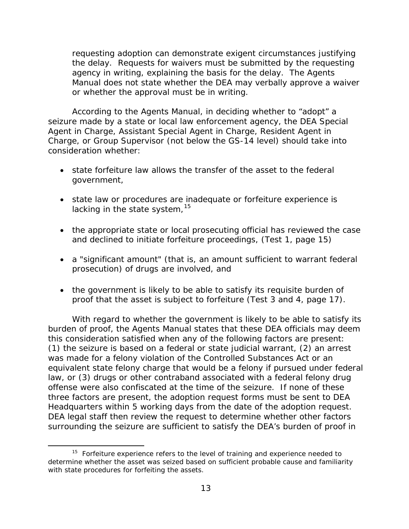requesting adoption can demonstrate exigent circumstances justifying the delay. Requests for waivers must be submitted by the requesting agency in writing, explaining the basis for the delay. The Agents Manual does not state whether the DEA may verbally approve a waiver or whether the approval must be in writing.

 consideration whether: According to the Agents Manual, in deciding whether to "adopt" a seizure made by a state or local law enforcement agency, the DEA Special Agent in Charge, Assistant Special Agent in Charge, Resident Agent in Charge, or Group Supervisor (not below the GS-14 level) should take into

- state forfeiture law allows the transfer of the asset to the federal government,
- state law or procedures are inadequate or forfeiture experience is lacking in the state system, <sup>[15](#page-17-0)</sup>
- and declined to initiate forfeiture proceedings, (Test 1, page 15) • the appropriate state or local prosecuting official has reviewed the case
- a "significant amount" (that is, an amount sufficient to warrant federal prosecution) of drugs are involved, and
- proof that the asset is subject to forfeiture (Test 3 and 4, page 17). • the government is likely to be able to satisfy its requisite burden of

 With regard to whether the government is likely to be able to satisfy its was made for a felony violation of the Controlled Substances Act or an offense were also confiscated at the time of the seizure. If none of these surrounding the seizure are sufficient to satisfy the DEA's burden of proof in burden of proof, the Agents Manual states that these DEA officials may deem this consideration satisfied when any of the following factors are present: (1) the seizure is based on a federal or state judicial warrant, (2) an arrest equivalent state felony charge that would be a felony if pursued under federal law, or (3) drugs or other contraband associated with a federal felony drug three factors are present, the adoption request forms must be sent to DEA Headquarters within 5 working days from the date of the adoption request. DEA legal staff then review the request to determine whether other factors

ı

<span id="page-17-0"></span> $15$  Forfeiture experience refers to the level of training and experience needed to determine whether the asset was seized based on sufficient probable cause and familiarity with state procedures for forfeiting the assets.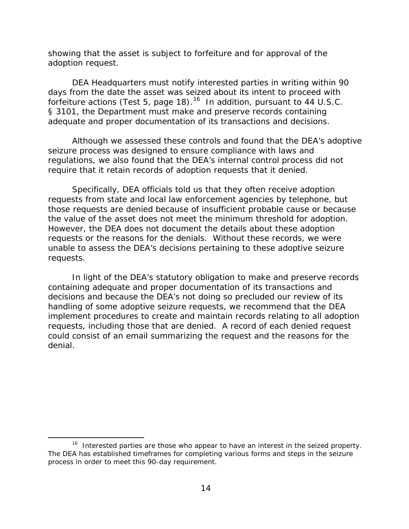showing that the asset is subject to forfeiture and for approval of the adoption request.

 DEA Headquarters must notify interested parties in writing within 90 days from the date the asset was seized about its intent to proceed with forfeiture actions (Test 5, page 18).<sup>16</sup> In addition, pursuant to 44 U.S.C. adequate and proper documentation of its transactions and decisions. § 3101, the Department must make and preserve records containing

 require that it retain records of adoption requests that it denied. Although we assessed these controls and found that the DEA's adoptive seizure process was designed to ensure compliance with laws and regulations, we also found that the DEA's internal control process did not

the value of the asset does not meet the minimum threshold for adoption.<br>However, the DEA does not document the details about these adoption Specifically, DEA officials told us that they often receive adoption requests from state and local law enforcement agencies by telephone, but those requests are denied because of insufficient probable cause or because requests or the reasons for the denials. Without these records, we were unable to assess the DEA's decisions pertaining to these adoptive seizure requests.

denial. In light of the DEA's statutory obligation to make and preserve records containing adequate and proper documentation of its transactions and decisions and because the DEA's not doing so precluded our review of its handling of some adoptive seizure requests, we recommend that the DEA implement procedures to create and maintain records relating to all adoption requests, including those that are denied. A record of each denied request could consist of an email summarizing the request and the reasons for the denial.<br>
16 Interested parties are those who appear to have an interest in the seized property.

 $\overline{\phantom{0}}$ 

<span id="page-18-0"></span><sup>&</sup>lt;sup>16</sup> Interested parties are those who appear to have an interest in the seized property. The DEA has established timeframes for completing various forms and steps in the seizure process in order to meet this 90-day requirement.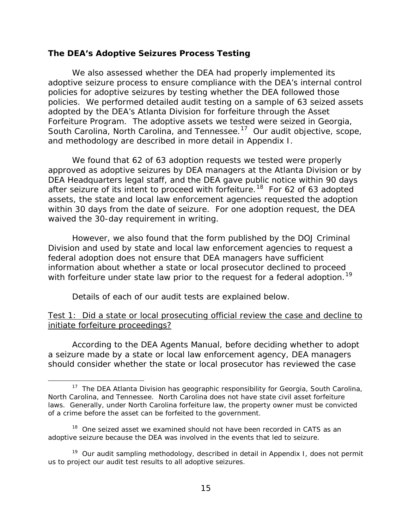#### <span id="page-19-0"></span>**The DEA's Adoptive Seizures Process Testing**

 We also assessed whether the DEA had properly implemented its policies for adoptive seizures by testing whether the DEA followed those policies. We performed detailed audit testing on a sample of 63 seized assets South Carolina, North Carolina, and Tennessee.<sup>17</sup> Our audit objective, scope, adoptive seizure process to ensure compliance with the DEA's internal control adopted by the DEA's Atlanta Division for forfeiture through the Asset Forfeiture Program. The adoptive assets we tested were seized in Georgia, and methodology are described in more detail in Appendix I.

after seizure of its intent to proceed with forfeiture.<sup>[18](#page-19-2)</sup> For 62 of 63 adopted within 30 days from the date of seizure. For one adoption request, the DEA We found that 62 of 63 adoption requests we tested were properly approved as adoptive seizures by DEA managers at the Atlanta Division or by DEA Headquarters legal staff, and the DEA gave public notice within 90 days assets, the state and local law enforcement agencies requested the adoption waived the 30-day requirement in writing.

with forfeiture under state law prior to the request for a federal adoption.<sup>19</sup> However, we also found that the form published by the DOJ Criminal Division and used by state and local law enforcement agencies to request a federal adoption does not ensure that DEA managers have sufficient information about whether a state or local prosecutor declined to proceed

Details of each of our audit tests are explained below.

 $\overline{\phantom{0}}$ 

### Test 1: Did a state or local prosecuting official review the case and decline to initiate forfeiture proceedings?

According to the DEA Agents Manual, before deciding whether to adopt a seizure made by a state or local law enforcement agency, DEA managers should consider whether the state or local prosecutor has reviewed the case

<span id="page-19-1"></span><sup>&</sup>lt;sup>17</sup> The DEA Atlanta Division has geographic responsibility for Georgia, South Carolina, North Carolina, and Tennessee. North Carolina does not have state civil asset forfeiture laws. Generally, under North Carolina forfeiture law, the property owner must be convicted of a crime before the asset can be forfeited to the government.

<span id="page-19-2"></span><sup>&</sup>lt;sup>18</sup> One seized asset we examined should not have been recorded in CATS as an adoptive seizure because the DEA was involved in the events that led to seizure.

<span id="page-19-3"></span><sup>&</sup>lt;sup>19</sup> Our audit sampling methodology, described in detail in Appendix I, does not permit us to project our audit test results to all adoptive seizures.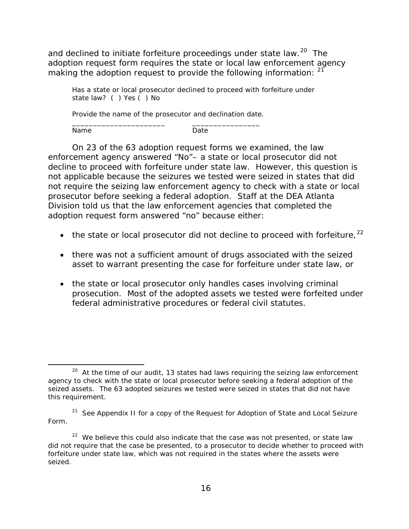and declined to initiate forfeiture proceedings under state law.<sup>20</sup> The adoption request form requires the state or local law enforcement agency making the adoption request to provide the following information:  $21$ 

 Has a state or local prosecutor declined to proceed with forfeiture under state law? ( ) Yes ( ) No

 Provide the name of the prosecutor and declination date. \_\_\_\_\_\_\_\_\_\_\_\_\_\_\_\_\_\_\_\_\_\_ \_\_\_\_\_\_\_\_\_\_\_\_\_\_\_\_

Name Date

ı

 Division told us that the law enforcement agencies that completed the adoption request form answered "no" because either: On 23 of the 63 adoption request forms we examined, the law enforcement agency answered "No"– a state or local prosecutor did not decline to proceed with forfeiture under state law. However, this question is not applicable because the seizures we tested were seized in states that did not require the seizing law enforcement agency to check with a state or local prosecutor before seeking a federal adoption. Staff at the DEA Atlanta

- the state or local prosecutor did not decline to proceed with forfeiture,  $22$
- there was not a sufficient amount of drugs associated with the seized asset to warrant presenting the case for forfeiture under state law, or
- prosecution. Most of the adopted assets we tested were forfeited under • the state or local prosecutor only handles cases involving criminal federal administrative procedures or federal civil statutes.

<span id="page-20-0"></span> $20$  At the time of our audit, 13 states had laws requiring the seizing law enforcement agency to check with the state or local prosecutor before seeking a federal adoption of the seized assets. The 63 adopted seizures we tested were seized in states that did not have this requirement.

<span id="page-20-1"></span> $21$  See Appendix II for a copy of the Request for Adoption of State and Local Seizure Form.

<span id="page-20-2"></span> $22$  We believe this could also indicate that the case was not presented, or state law did not require that the case be presented, to a prosecutor to decide whether to proceed with forfeiture under state law, which was not required in the states where the assets were seized.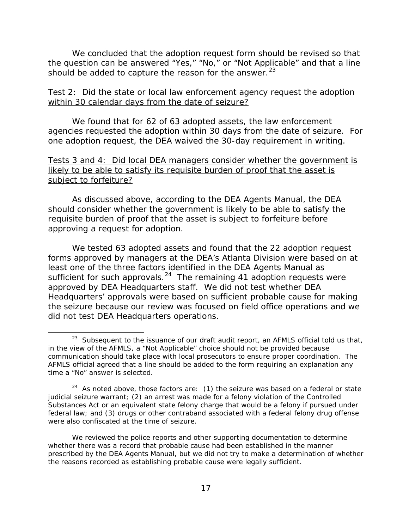should be added to capture the reason for the answer.<sup>23</sup> We concluded that the adoption request form should be revised so that the question can be answered "Yes," "No," or "Not Applicable" and that a line

### within 30 calendar days from the date of seizure? Test 2: Did the state or local law enforcement agency request the adoption

 agencies requested the adoption within 30 days from the date of seizure. For We found that for 62 of 63 adopted assets, the law enforcement one adoption request, the DEA waived the 30-day requirement in writing.

### Tests 3 and 4: Did local DEA managers consider whether the government is likely to be able to satisfy its requisite burden of proof that the asset is subject to forfeiture?

As discussed above, according to the DEA Agents Manual, the DEA should consider whether the government is likely to be able to satisfy the requisite burden of proof that the asset is subject to forfeiture before approving a request for adoption.

 least one of the three factors identified in the DEA Agents Manual as sufficient for such approvals.  $24$  The remaining 41 adoption requests were approved by DEA Headquarters staff. We did not test whether DEA We tested 63 adopted assets and found that the 22 adoption request forms approved by managers at the DEA's Atlanta Division were based on at Headquarters' approvals were based on sufficient probable cause for making the seizure because our review was focused on field office operations and we did not test DEA Headquarters operations.

 $\overline{\phantom{0}}$ 

<span id="page-21-0"></span><sup>&</sup>lt;sup>23</sup> Subsequent to the issuance of our draft audit report, an AFMLS official told us that, in the view of the AFMLS, a "Not Applicable" choice should not be provided because communication should take place with local prosecutors to ensure proper coordination. The AFMLS official agreed that a line should be added to the form requiring an explanation any time a "No" answer is selected.

<span id="page-21-1"></span> $24$  As noted above, those factors are: (1) the seizure was based on a federal or state judicial seizure warrant; (2) an arrest was made for a felony violation of the Controlled Substances Act or an equivalent state felony charge that would be a felony if pursued under federal law; and (3) drugs or other contraband associated with a federal felony drug offense were also confiscated at the time of seizure.

 We reviewed the police reports and other supporting documentation to determine whether there was a record that probable cause had been established in the manner prescribed by the DEA Agents Manual, but we did not try to make a determination of whether the reasons recorded as establishing probable cause were legally sufficient.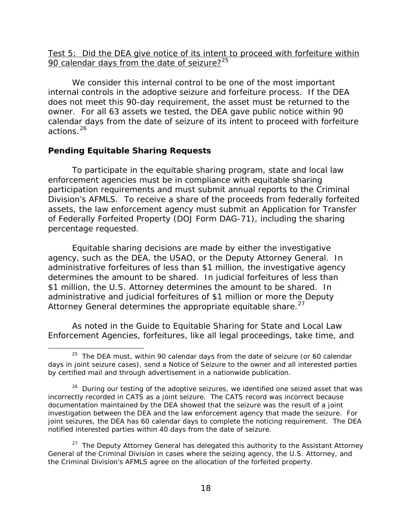Test 5: Did the DEA give notice of its intent to proceed with forfeiture within 90 calendar days from the date of seizure? $25$ 

 We consider this internal control to be one of the most important internal controls in the adoptive seizure and forfeiture process. If the DEA does not meet this 90-day requirement, the asset must be returned to the owner. For all 63 assets we tested, the DEA gave public notice within 90 calendar days from the date of seizure of its intent to proceed with forfeiture actions.[26](#page-22-2) 

#### <span id="page-22-0"></span>**Pending Equitable Sharing Requests**

ı

To participate in the equitable sharing program, state and local law enforcement agencies must be in compliance with equitable sharing participation requirements and must submit annual reports to the Criminal Division's AFMLS. To receive a share of the proceeds from federally forfeited assets, the law enforcement agency must submit an Application for Transfer of Federally Forfeited Property (DOJ Form DAG-71), including the sharing percentage requested.

\$1 million, the U.S. Attorney determines the amount to be shared. In Equitable sharing decisions are made by either the investigative agency, such as the DEA, the USAO, or the Deputy Attorney General. In administrative forfeitures of less than \$1 million, the investigative agency determines the amount to be shared. In judicial forfeitures of less than administrative and judicial forfeitures of \$1 million or more the Deputy Attorney General determines the appropriate equitable share.  $27$ 

As noted in the Guide to Equitable Sharing for State and Local Law Enforcement Agencies, forfeitures, like all legal proceedings, take time, and

<span id="page-22-1"></span> $25$  The DEA must, within 90 calendar days from the date of seizure (or 60 calendar days in joint seizure cases), send a Notice of Seizure to the owner and all interested parties by certified mail and through advertisement in a nationwide publication.

<span id="page-22-2"></span> $26$  During our testing of the adoptive seizures, we identified one seized asset that was incorrectly recorded in CATS as a joint seizure. The CATS record was incorrect because documentation maintained by the DEA showed that the seizure was the result of a joint investigation between the DEA and the law enforcement agency that made the seizure. For joint seizures, the DEA has 60 calendar days to complete the noticing requirement. The DEA notified interested parties within 40 days from the date of seizure.

<span id="page-22-3"></span> $27$  The Deputy Attorney General has delegated this authority to the Assistant Attorney General of the Criminal Division in cases where the seizing agency, the U.S. Attorney, and the Criminal Division's AFMLS agree on the allocation of the forfeited property.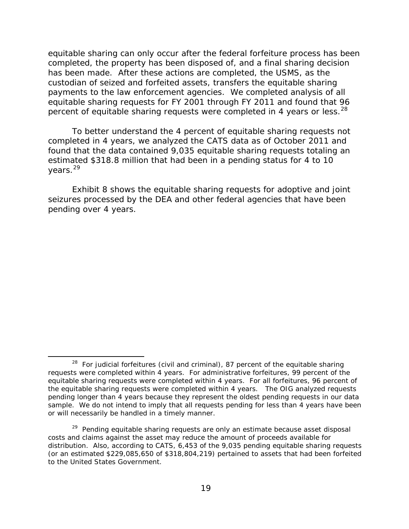has been made. After these actions are completed, the USMS, as the equitable sharing can only occur after the federal forfeiture process has been completed, the property has been disposed of, and a final sharing decision custodian of seized and forfeited assets, transfers the equitable sharing payments to the law enforcement agencies. We completed analysis of all equitable sharing requests for FY 2001 through FY 2011 and found that 96 percent of equitable sharing requests were completed in 4 years or less.<sup>28</sup>

 completed in 4 years, we analyzed the CATS data as of October 2011 and found that the data contained 9,035 equitable sharing requests totaling an years.<sup>[29](#page-23-1)</sup> To better understand the 4 percent of equitable sharing requests not estimated \$318.8 million that had been in a pending status for 4 to 10

Exhibit 8 shows the equitable sharing requests for adoptive and joint seizures processed by the DEA and other federal agencies that have been pending over 4 years.

 $\overline{\phantom{0}}$ 

<span id="page-23-0"></span> $28$  For judicial forfeitures (civil and criminal), 87 percent of the equitable sharing requests were completed within 4 years. For administrative forfeitures, 99 percent of the equitable sharing requests were completed within 4 years. For all forfeitures, 96 percent of the equitable sharing requests were completed within 4 years. The OIG analyzed requests pending longer than 4 years because they represent the oldest pending requests in our data sample. We do not intend to imply that all requests pending for less than 4 years have been or will necessarily be handled in a timely manner.

<span id="page-23-1"></span><sup>&</sup>lt;sup>29</sup> Pending equitable sharing requests are only an estimate because asset disposal costs and claims against the asset may reduce the amount of proceeds available for distribution. Also, according to CATS, 6,453 of the 9,035 pending equitable sharing requests (or an estimated \$229,085,650 of \$318,804,219) pertained to assets that had been forfeited to the United States Government.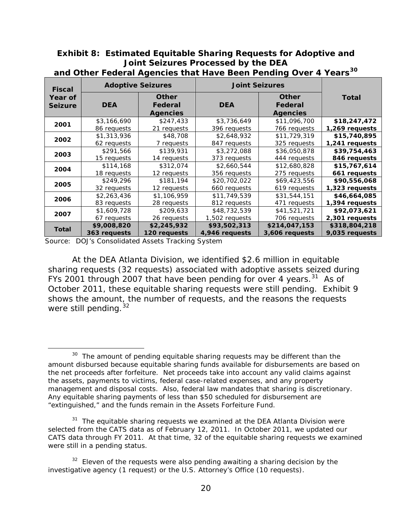### **Exhibit 8: Estimated Equitable Sharing Requests for Adoptive and Joint Seizures Processed by the DEA**

| <b>Fiscal</b>             | <b>Adoptive Seizures</b> |                                            | <b>Joint Seizures</b>                                    |                |                |
|---------------------------|--------------------------|--------------------------------------------|----------------------------------------------------------|----------------|----------------|
| Year of<br><b>Seizure</b> | <b>DEA</b>               | <b>Other</b><br>Federal<br><b>Agencies</b> | <b>Other</b><br><b>DEA</b><br>Federal<br><b>Agencies</b> |                | <b>Total</b>   |
| 2001                      | \$3,166,690              | \$247,433                                  | \$3,736,649                                              | \$11,096,700   | \$18,247,472   |
|                           | 86 requests              | 21 requests                                | 396 requests                                             | 766 requests   | 1,269 requests |
| 2002                      | \$1,313,936              | \$48,708                                   | \$2,648,932                                              | \$11,729,319   | \$15,740,895   |
|                           | 62 requests              | 7 requests                                 | 847 requests                                             | 325 requests   | 1,241 requests |
| 2003                      | \$291,566                | \$139,931                                  | \$3,272,088                                              | \$36,050,878   | \$39,754,463   |
|                           | 15 requests              | 14 requests                                | 373 requests                                             | 444 requests   | 846 requests   |
| 2004                      | \$114,168                | \$312,074                                  | \$2,660,544                                              | \$12,680,828   | \$15,767,614   |
|                           | 18 requests              | 12 requests                                | 356 requests                                             | 275 requests   | 661 requests   |
| 2005                      | \$249,296                | \$181,194                                  | \$20,702,022                                             | \$69,423,556   | \$90,556,068   |
|                           | 32 requests              | 12 requests                                | 660 requests                                             | 619 requests   | 1,323 requests |
| 2006                      | \$2,263,436              | \$1,106,959                                | \$11,749,539                                             | \$31,544,151   | \$46,664,085   |
|                           | 83 requests              | 28 requests                                | 812 requests                                             | 471 requests   | 1,394 requests |
| 2007                      | \$1,609,728              | \$209,633                                  | \$48,732,539                                             | \$41,521,721   | \$92,073,621   |
|                           | 67 requests              | 26 requests                                | 1,502 requests                                           | 706 requests   | 2,301 requests |
| <b>Total</b>              | \$9,008,820              | \$2,245,932                                | \$93,502,313                                             | \$214,047,153  | \$318,804,218  |
|                           | 363 requests             | 120 requests                               | 4,946 requests                                           | 3,606 requests | 9,035 requests |

**and Other Federal Agencies that Have Been Pending Over 4 Years[30](#page-24-0)**

Source: DOJ's Consolidated Assets Tracking System

ı

FYs 2001 through 2007 that have been pending for over 4 years. $31$  As of October 2011, these equitable sharing requests were still pending. Exhibit 9 At the DEA Atlanta Division, we identified \$2.6 million in equitable sharing requests (32 requests) associated with adoptive assets seized during shows the amount, the number of requests, and the reasons the requests were still pending.  $32$ 

<span id="page-24-0"></span> $30$  The amount of pending equitable sharing requests may be different than the amount disbursed because equitable sharing funds available for disbursements are based on the net proceeds after forfeiture. Net proceeds take into account any valid claims against the assets, payments to victims, federal case-related expenses, and any property management and disposal costs. Also, federal law mandates that sharing is discretionary. Any equitable sharing payments of less than \$50 scheduled for disbursement are "extinguished," and the funds remain in the Assets Forfeiture Fund.

<span id="page-24-1"></span> $31$  The equitable sharing requests we examined at the DEA Atlanta Division were selected from the CATS data as of February 12, 2011. In October 2011, we updated our CATS data through FY 2011. At that time, 32 of the equitable sharing requests we examined were still in a pending status.

<span id="page-24-2"></span> $32$  Eleven of the requests were also pending awaiting a sharing decision by the investigative agency (1 request) or the U.S. Attorney's Office (10 requests).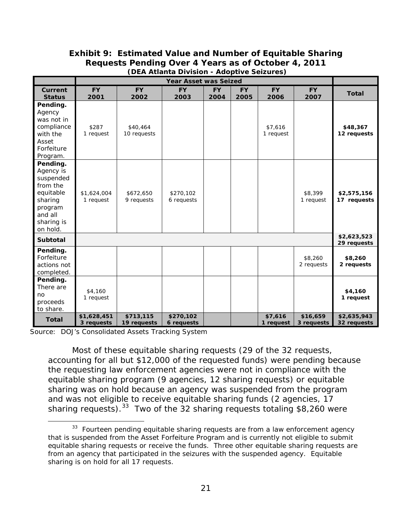### **(DEA Atlanta Division - Adoptive Seizures) Exhibit 9: Estimated Value and Number of Equitable Sharing Requests Pending Over 4 Years as of October 4, 2011**

|                                                                                                                        | <b>Year Asset was Seized</b> |                          |                         |                   |                   |                      |                        |                            |
|------------------------------------------------------------------------------------------------------------------------|------------------------------|--------------------------|-------------------------|-------------------|-------------------|----------------------|------------------------|----------------------------|
| Current<br><b>Status</b>                                                                                               | <b>FY</b><br>2001            | <b>FY</b><br>2002        | <b>FY</b><br>2003       | <b>FY</b><br>2004 | <b>FY</b><br>2005 | FY.<br>2006          | <b>FY</b><br>2007      | <b>Total</b>               |
| Pending.<br>Agency<br>was not in<br>compliance<br>with the<br>Asset<br>Forfeiture<br>Program.                          | \$287<br>1 request           | \$40,464<br>10 requests  |                         |                   |                   | \$7.616<br>1 request |                        | \$48,367<br>12 requests    |
| Pending.<br>Agency is<br>suspended<br>from the<br>equitable<br>sharing<br>program<br>and all<br>sharing is<br>on hold. | \$1,624,004<br>1 request     | \$672,650<br>9 requests  | \$270,102<br>6 requests |                   |                   |                      | \$8,399<br>1 request   | \$2,575,156<br>17 requests |
| <b>Subtotal</b>                                                                                                        |                              |                          |                         |                   |                   |                      |                        | \$2,623,523<br>29 requests |
| Pending.<br>Forfeiture<br>actions not<br>completed.                                                                    |                              |                          |                         |                   |                   |                      | \$8,260<br>2 requests  | \$8,260<br>2 requests      |
| Pending.<br>There are<br>no<br>proceeds<br>to share.                                                                   | \$4,160<br>1 request         |                          |                         |                   |                   |                      |                        | \$4,160<br>1 request       |
| <b>Total</b>                                                                                                           | \$1,628,451<br>3 requests    | \$713,115<br>19 requests | \$270,102<br>6 requests |                   |                   | \$7,616<br>1 request | \$16,659<br>3 requests | \$2,635,943<br>32 requests |

Source: DOJ's Consolidated Assets Tracking System

 $\overline{\phantom{0}}$ 

sharing requests).  $33$  Two of the 32 sharing requests totaling \$8,260 were Most of these equitable sharing requests (29 of the 32 requests, accounting for all but \$12,000 of the requested funds) were pending because the requesting law enforcement agencies were not in compliance with the equitable sharing program (9 agencies, 12 sharing requests) or equitable sharing was on hold because an agency was suspended from the program and was not eligible to receive equitable sharing funds (2 agencies, 17

<span id="page-25-0"></span> $33$  Fourteen pending equitable sharing requests are from a law enforcement agency that is suspended from the Asset Forfeiture Program and is currently not eligible to submit equitable sharing requests or receive the funds. Three other equitable sharing requests are from an agency that participated in the seizures with the suspended agency. Equitable sharing is on hold for all 17 requests.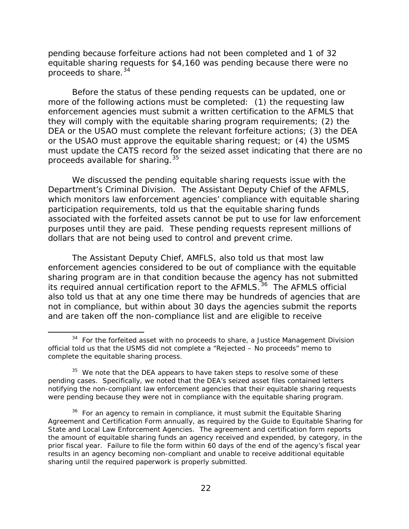proceeds to share.<sup>[34](#page-26-0)</sup> pending because forfeiture actions had not been completed and 1 of 32 equitable sharing requests for \$4,160 was pending because there were no

 more of the following actions must be completed: (1) the requesting law proceeds available for sharing.<sup>[35](#page-26-1)</sup> Before the status of these pending requests can be updated, one or enforcement agencies must submit a written certification to the AFMLS that they will comply with the equitable sharing program requirements; (2) the DEA or the USAO must complete the relevant forfeiture actions; (3) the DEA or the USAO must approve the equitable sharing request; or (4) the USMS must update the CATS record for the seized asset indicating that there are no

 We discussed the pending equitable sharing requests issue with the Department's Criminal Division. The Assistant Deputy Chief of the AFMLS, associated with the forfeited assets cannot be put to use for law enforcement purposes until they are paid. These pending requests represent millions of which monitors law enforcement agencies' compliance with equitable sharing participation requirements, told us that the equitable sharing funds dollars that are not being used to control and prevent crime.

 The Assistant Deputy Chief, AMFLS, also told us that most law its required annual certification report to the AFMLS.<sup>36</sup> The AFMLS official enforcement agencies considered to be out of compliance with the equitable sharing program are in that condition because the agency has not submitted also told us that at any one time there may be hundreds of agencies that are not in compliance, but within about 30 days the agencies submit the reports and are taken off the non-compliance list and are eligible to receive

 $\overline{\phantom{0}}$ 

<span id="page-26-0"></span> $34$  For the forfeited asset with no proceeds to share, a Justice Management Division official told us that the USMS did not complete a "Rejected – No proceeds" memo to complete the equitable sharing process.

<span id="page-26-1"></span> $35$  We note that the DEA appears to have taken steps to resolve some of these pending cases. Specifically, we noted that the DEA's seized asset files contained letters notifying the non-compliant law enforcement agencies that their equitable sharing requests were pending because they were not in compliance with the equitable sharing program.

<span id="page-26-2"></span> $36$  For an agency to remain in compliance, it must submit the Equitable Sharing Agreement and Certification Form annually, as required by the *Guide to Equitable Sharing for State and Local Law Enforcement Agencies*. The agreement and certification form reports the amount of equitable sharing funds an agency received and expended, by category, in the prior fiscal year. Failure to file the form within 60 days of the end of the agency's fiscal year results in an agency becoming non-compliant and unable to receive additional equitable sharing until the required paperwork is properly submitted.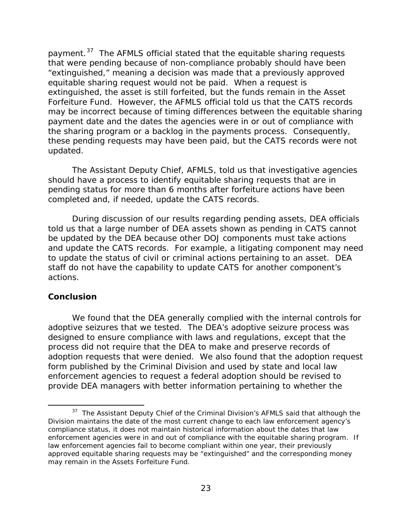payment.<sup>[37](#page-27-1)</sup> The AFMLS official stated that the equitable sharing requests equitable sharing request would not be paid. When a request is Forfeiture Fund. However, the AFMLS official told us that the CATS records the sharing program or a backlog in the payments process. Consequently, that were pending because of non-compliance probably should have been "extinguished," meaning a decision was made that a previously approved extinguished, the asset is still forfeited, but the funds remain in the Asset may be incorrect because of timing differences between the equitable sharing payment date and the dates the agencies were in or out of compliance with these pending requests may have been paid, but the CATS records were not updated.

The Assistant Deputy Chief, AFMLS, told us that investigative agencies should have a process to identify equitable sharing requests that are in pending status for more than 6 months after forfeiture actions have been completed and, if needed, update the CATS records.

 be updated by the DEA because other DOJ components must take actions and update the CATS records. For example, a litigating component may need actions. During discussion of our results regarding pending assets, DEA officials told us that a large number of DEA assets shown as pending in CATS cannot to update the status of civil or criminal actions pertaining to an asset. DEA staff do not have the capability to update CATS for another component's

#### <span id="page-27-0"></span>**Conclusion**

l

 adoption requests that were denied. We also found that the adoption request We found that the DEA generally complied with the internal controls for adoptive seizures that we tested. The DEA's adoptive seizure process was designed to ensure compliance with laws and regulations, except that the process did not require that the DEA to make and preserve records of form published by the Criminal Division and used by state and local law enforcement agencies to request a federal adoption should be revised to provide DEA managers with better information pertaining to whether the

<span id="page-27-1"></span> $37$  The Assistant Deputy Chief of the Criminal Division's AFMLS said that although the Division maintains the date of the most current change to each law enforcement agency's compliance status, it does not maintain historical information about the dates that law enforcement agencies were in and out of compliance with the equitable sharing program. If law enforcement agencies fail to become compliant within one year, their previously approved equitable sharing requests may be "extinguished" and the corresponding money may remain in the Assets Forfeiture Fund.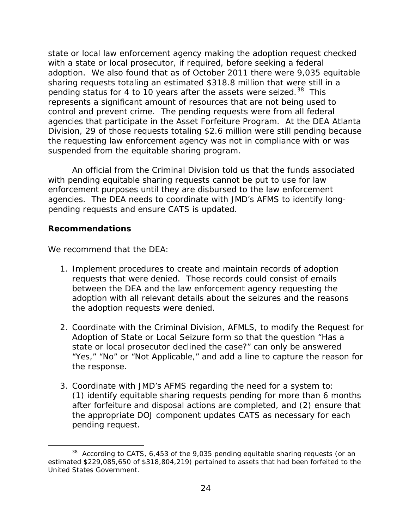pending status for 4 to 10 years after the assets were seized.<sup>[38](#page-28-1)</sup> This control and prevent crime. The pending requests were from all federal agencies that participate in the Asset Forfeiture Program. At the DEA Atlanta state or local law enforcement agency making the adoption request checked with a state or local prosecutor, if required, before seeking a federal adoption. We also found that as of October 2011 there were 9,035 equitable sharing requests totaling an estimated \$318.8 million that were still in a represents a significant amount of resources that are not being used to Division, 29 of those requests totaling \$2.6 million were still pending because the requesting law enforcement agency was not in compliance with or was suspended from the equitable sharing program.

 An official from the Criminal Division told us that the funds associated with pending equitable sharing requests cannot be put to use for law agencies. The DEA needs to coordinate with JMD's AFMS to identify long- pending requests and ensure CATS is updated. enforcement purposes until they are disbursed to the law enforcement

### <span id="page-28-0"></span>**Recommendations**

ı

We recommend that the DEA:

- 1. Implement procedures to create and maintain records of adoption requests that were denied. Those records could consist of emails between the DEA and the law enforcement agency requesting the adoption with all relevant details about the seizures and the reasons the adoption requests were denied.
- 2. Coordinate with the Criminal Division, AFMLS, to modify the Request for Adoption of State or Local Seizure form so that the question "Has a state or local prosecutor declined the case?" can only be answered "Yes," "No" or "Not Applicable," and add a line to capture the reason for the response.
- pending request. pending request.<br>38 According to CATS, 6,453 of the 9,035 pending equitable sharing requests (or an 3. Coordinate with JMD's AFMS regarding the need for a system to: (1) identify equitable sharing requests pending for more than 6 months after forfeiture and disposal actions are completed, and (2) ensure that the appropriate DOJ component updates CATS as necessary for each

<span id="page-28-1"></span> estimated \$229,085,650 of \$318,804,219) pertained to assets that had been forfeited to the United States Government.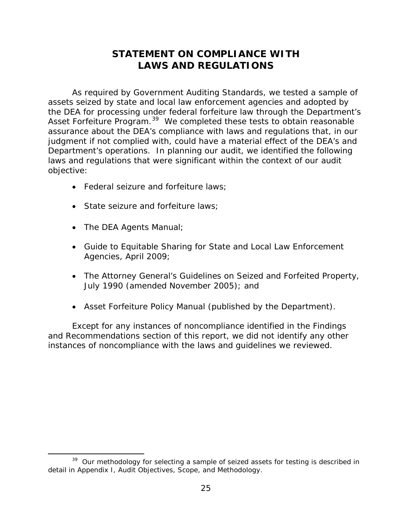### **STATEMENT ON COMPLIANCE WITH LAWS AND REGULATIONS**

<span id="page-29-1"></span><span id="page-29-0"></span>Asset Forfeiture Program.<sup>39</sup> We completed these tests to obtain reasonable assurance about the DEA's compliance with laws and regulations that, in our As required by *Government Auditing Standards*, we tested a sample of assets seized by state and local law enforcement agencies and adopted by the DEA for processing under federal forfeiture law through the Department's judgment if not complied with, could have a material effect of the DEA's and Department's operations. In planning our audit, we identified the following laws and regulations that were significant within the context of our audit objective:

- Federal seizure and forfeiture laws;
- State seizure and forfeiture laws:
- The DEA Agents Manual;

 $\overline{\phantom{0}}$ 

- Guide to Equitable Sharing for State and Local Law Enforcement Agencies, April 2009;
- The Attorney General's Guidelines on Seized and Forfeited Property, July 1990 (amended November 2005); and
- Asset Forfeiture Policy Manual (published by the Department).

instances of noncompliance with the laws and quidelines we reviewed. Except for any instances of noncompliance identified in the Findings and Recommendations section of this report, we did not identify any other instances of noncompliance with the laws and guidelines we reviewed.<br>  $\frac{39}{2}$  Our methodology for selecting a sample of seized assets for testing is described in

<span id="page-29-2"></span><sup>&</sup>lt;sup>39</sup> Our methodology for selecting a sample of seized assets for testing is described in detail in Appendix I, Audit Objectives, Scope, and Methodology.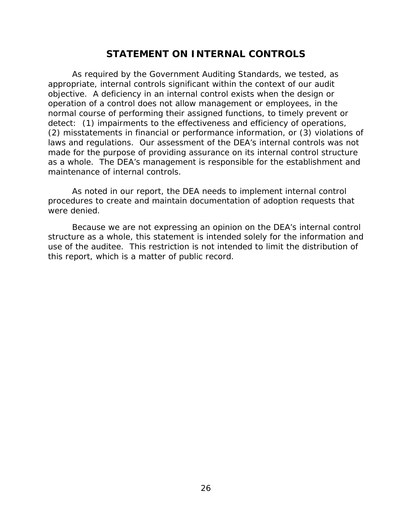### **STATEMENT ON INTERNAL CONTROLS**

<span id="page-30-0"></span> As required by the *Government Auditing Standards,* we tested, as appropriate, internal controls significant within the context of our audit objective. A deficiency in an internal control exists when the design or operation of a control does not allow management or employees, in the normal course of performing their assigned functions, to timely prevent or detect: (1) impairments to the effectiveness and efficiency of operations, (2) misstatements in financial or performance information, or (3) violations of laws and regulations. Our assessment of the DEA's internal controls was *not*  made for the purpose of providing assurance on its internal control structure as a whole. The DEA's management is responsible for the establishment and maintenance of internal controls.

 As noted in our report, the DEA needs to implement internal control procedures to create and maintain documentation of adoption requests that were denied.

Because we are not expressing an opinion on the DEA's internal control structure as a whole, this statement is intended solely for the information and use of the auditee. This restriction is not intended to limit the distribution of this report, which is a matter of public record.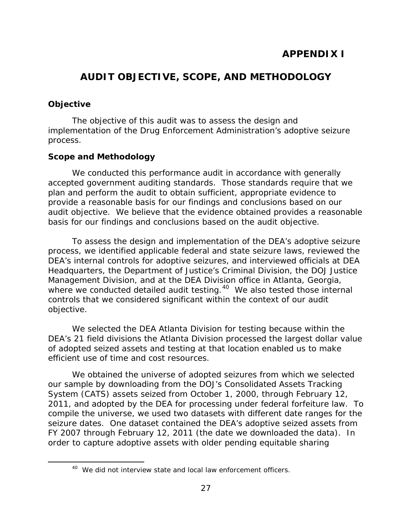## <span id="page-31-0"></span>**AUDIT OBJECTIVE, SCOPE, AND METHODOLOGY**

### <span id="page-31-1"></span>**Objective**

<span id="page-31-2"></span> $\overline{\phantom{0}}$ 

The objective of this audit was to assess the design and implementation of the Drug Enforcement Administration's adoptive seizure process.

### **Scope and Methodology**

 We conducted this performance audit in accordance with generally accepted government auditing standards. Those standards require that we plan and perform the audit to obtain sufficient, appropriate evidence to provide a reasonable basis for our findings and conclusions based on our audit objective. We believe that the evidence obtained provides a reasonable basis for our findings and conclusions based on the audit objective.

where we conducted detailed audit testing.<sup>[40](#page-31-2)</sup> We also tested those internal To assess the design and implementation of the DEA's adoptive seizure process, we identified applicable federal and state seizure laws, reviewed the DEA's internal controls for adoptive seizures, and interviewed officials at DEA Headquarters, the Department of Justice's Criminal Division, the DOJ Justice Management Division, and at the DEA Division office in Atlanta, Georgia, controls that we considered significant within the context of our audit objective.

efficient use of time and cost resources. We selected the DEA Atlanta Division for testing because within the DEA's 21 field divisions the Atlanta Division processed the largest dollar value of adopted seized assets and testing at that location enabled us to make

 FY 2007 through February 12, 2011 (the date we downloaded the data). In We obtained the universe of adopted seizures from which we selected our sample by downloading from the DOJ's Consolidated Assets Tracking System (CATS) assets seized from October 1, 2000, through February 12, 2011, and adopted by the DEA for processing under federal forfeiture law. To compile the universe, we used two datasets with different date ranges for the seizure dates. One dataset contained the DEA's adoptive seized assets from order to capture adoptive assets with older pending equitable sharing

<sup>&</sup>lt;sup>40</sup> We did not interview state and local law enforcement officers.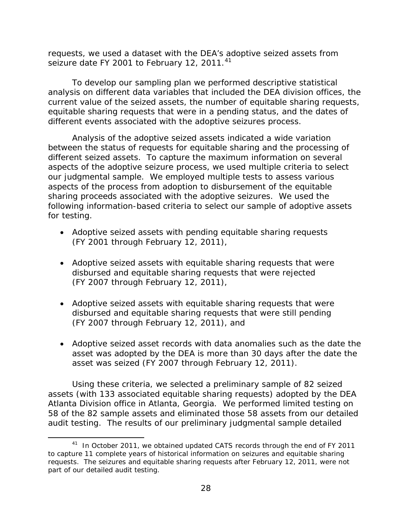requests, we used a dataset with the DEA's adoptive seized assets from seizure date FY 2001 to February 12, 2011.<sup>41</sup>

 analysis on different data variables that included the DEA division offices, the To develop our sampling plan we performed descriptive statistical current value of the seized assets, the number of equitable sharing requests, equitable sharing requests that were in a pending status, and the dates of different events associated with the adoptive seizures process.

 sharing proceeds associated with the adoptive seizures. We used the Analysis of the adoptive seized assets indicated a wide variation between the status of requests for equitable sharing and the processing of different seized assets. To capture the maximum information on several aspects of the adoptive seizure process, we used multiple criteria to select our judgmental sample. We employed multiple tests to assess various aspects of the process from adoption to disbursement of the equitable following information-based criteria to select our sample of adoptive assets for testing.

- Adoptive seized assets with pending equitable sharing requests (FY 2001 through February 12, 2011),
- (FY 2007 through February 12, 2011), • Adoptive seized assets with equitable sharing requests that were disbursed and equitable sharing requests that were rejected
- Adoptive seized assets with equitable sharing requests that were disbursed and equitable sharing requests that were still pending (FY 2007 through February 12, 2011), and
- Adoptive seized asset records with data anomalies such as the date the asset was adopted by the DEA is more than 30 days after the date the asset was seized (FY 2007 through February 12, 2011).

Using these criteria, we selected a preliminary sample of 82 seized assets (with 133 associated equitable sharing requests) adopted by the DEA Atlanta Division office in Atlanta, Georgia. We performed limited testing on 58 of the 82 sample assets and eliminated those 58 assets from our detailed audit testing. The results of our preliminary judgmental sample detailed

 $\overline{\phantom{0}}$ 

<span id="page-32-0"></span> $41$  In October 2011, we obtained updated CATS records through the end of FY 2011 to capture 11 complete years of historical information on seizures and equitable sharing requests. The seizures and equitable sharing requests after February 12, 2011, were not part of our detailed audit testing.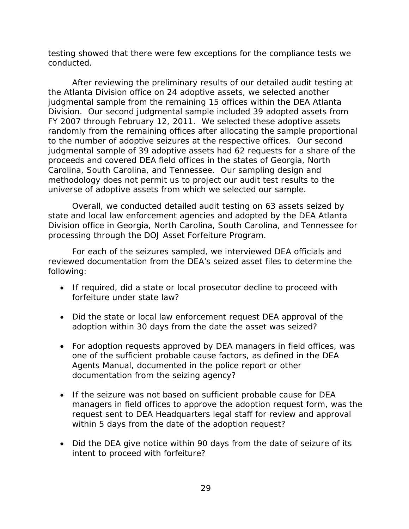testing showed that there were few exceptions for the compliance tests we conducted.

 After reviewing the preliminary results of our detailed audit testing at the Atlanta Division office on 24 adoptive assets, we selected another Carolina, South Carolina, and Tennessee. Our sampling design and judgmental sample from the remaining 15 offices within the DEA Atlanta Division. Our second judgmental sample included 39 adopted assets from FY 2007 through February 12, 2011. We selected these adoptive assets randomly from the remaining offices after allocating the sample proportional to the number of adoptive seizures at the respective offices. Our second judgmental sample of 39 adoptive assets had 62 requests for a share of the proceeds and covered DEA field offices in the states of Georgia, North methodology does not permit us to project our audit test results to the universe of adoptive assets from which we selected our sample.

 state and local law enforcement agencies and adopted by the DEA Atlanta Division office in Georgia, North Carolina, South Carolina, and Tennessee for Overall, we conducted detailed audit testing on 63 assets seized by processing through the DOJ Asset Forfeiture Program.

For each of the seizures sampled, we interviewed DEA officials and reviewed documentation from the DEA's seized asset files to determine the following:

- If required, did a state or local prosecutor decline to proceed with forfeiture under state law?
- adoption within 30 days from the date the asset was seized? • Did the state or local law enforcement request DEA approval of the
- For adoption requests approved by DEA managers in field offices, was one of the sufficient probable cause factors, as defined in the DEA Agents Manual, documented in the police report or other documentation from the seizing agency?
- request sent to DEA Headquarters legal staff for review and approval • If the seizure was not based on sufficient probable cause for DEA managers in field offices to approve the adoption request form, was the within 5 days from the date of the adoption request?
- Did the DEA give notice within 90 days from the date of seizure of its intent to proceed with forfeiture?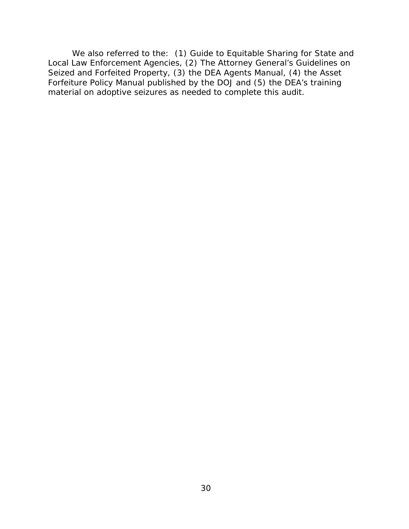We also referred to the: (1) Guide to Equitable Sharing for State and Local Law Enforcement Agencies, (2) The Attorney General's Guidelines on Seized and Forfeited Property, (3) the DEA Agents Manual, (4) the Asset Forfeiture Policy Manual published by the DOJ and (5) the DEA's training material on adoptive seizures as needed to complete this audit.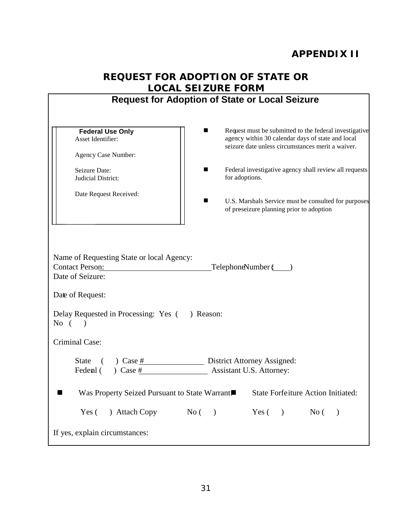# <span id="page-35-0"></span>**APPENDIX II**

<span id="page-35-2"></span><span id="page-35-1"></span>

|                                                                                         | <b>REQUEST FOR ADOPTION OF STATE OR</b>                                                                                                                               |
|-----------------------------------------------------------------------------------------|-----------------------------------------------------------------------------------------------------------------------------------------------------------------------|
|                                                                                         | <b>LOCAL SEIZURE FORM</b><br><b>Request for Adoption of State or Local Seizure</b>                                                                                    |
|                                                                                         |                                                                                                                                                                       |
| <b>Federal Use Only</b><br>Asset Identifier:<br>Agency Case Number:                     | Request must be submitted to the federal investigative<br>■<br>agency within 30 calendar days of state and local<br>seizure date unless circumstances merit a waiver. |
| Seizure Date:<br>Judicial District:                                                     | Federal investigative agency shall review all requests<br>for adoptions.                                                                                              |
| Date Request Received:                                                                  | U.S. Marshals Service must be consulted for purposes<br>of preseizure planning prior to adoption                                                                      |
| Name of Requesting State or local Agency:<br><b>Contact Person:</b><br>Date of Seizure: | TelephoneNumber (Super                                                                                                                                                |
| Date of Request:                                                                        |                                                                                                                                                                       |
| Delay Requested in Processing: Yes (<br>No $($ $)$                                      | ) Reason:                                                                                                                                                             |
| Criminal Case:                                                                          |                                                                                                                                                                       |
| <b>State</b><br>$)$ Case #<br>Federal () Case #                                         | <b>District Attorney Assigned:</b><br><b>Assistant U.S. Attorney:</b>                                                                                                 |
| Was Property Seized Pursuant to State Warrant                                           | <b>State Forfeiture Action Initiated:</b>                                                                                                                             |
| $N_{0}$ ( )<br>) Attach Copy<br>Yes (                                                   | $Yes( )$ No (                                                                                                                                                         |
| If yes, explain circumstances:                                                          |                                                                                                                                                                       |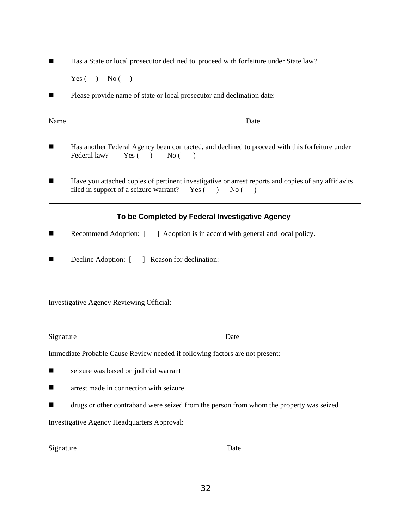| Has a State or local prosecutor declined to proceed with forfeiture under State law?                                                                                          |
|-------------------------------------------------------------------------------------------------------------------------------------------------------------------------------|
| Yes $( )$ No $( )$                                                                                                                                                            |
| Please provide name of state or local prosecutor and declination date:                                                                                                        |
| Date<br>Name                                                                                                                                                                  |
| Has another Federal Agency been contacted, and declined to proceed with this forfeiture under<br>Federal law?<br>Yes(<br>No(<br>$\rightarrow$                                 |
| Have you attached copies of pertinent investigative or arrest reports and copies of any affidavits<br>filed in support of a seizure warrant?<br>Yes (<br>No(<br>$\rightarrow$ |
| To be Completed by Federal Investigative Agency                                                                                                                               |
| Recommend Adoption: [ ] Adoption is in accord with general and local policy.                                                                                                  |
| Decline Adoption: [ ] Reason for declination:                                                                                                                                 |
| Investigative Agency Reviewing Official:                                                                                                                                      |
| Date<br>Signature                                                                                                                                                             |
| Immediate Probable Cause Review needed if following factors are not present:                                                                                                  |
| seizure was based on judicial warrant<br>I –                                                                                                                                  |
| arrest made in connection with seizure<br>L                                                                                                                                   |
| drugs or other contraband were seized from the person from whom the property was seized                                                                                       |
| Investigative Agency Headquarters Approval:                                                                                                                                   |
| Signature<br>Date                                                                                                                                                             |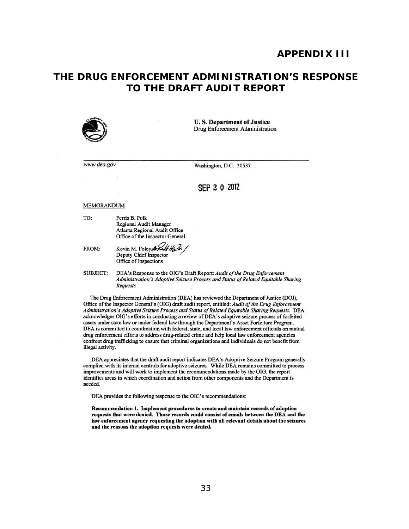### **APPENDIX III**

### <span id="page-37-0"></span>**THE DRUG ENFORCEMENT ADMINISTRATION'S RESPONSE TO THE DRAFT AUDIT REPORT**



U. S. Department of Justice Drug Enforcement Administration

*www.dea.gov* 

Washington, D.C. 20537

#### SEP 2 0 2012

#### **MEMORANDUM**

TO: Fenis B. Polk Regional Audit Manager Atlanta Regional Audit Office Office of the Inspector General

FROM: Kevin M. Foley Att HL2 Deputy Chief Inspector Office of Inspections

SUBJECT: DEA's Response to the OIG's Draft Report: *Audit of the Drug Enforcement* Administration's Adoptive Seizure Process and Status of Related Equitable Sharing *Requests* 

The Drug Enforcement Administration (DEA) has reviewed the Department of Justice (DOJ), Office of the Inspector General's (OIG) draft audit report, entitled: *Audit of the Drug Enforcement* Administration's Adoptive Seizure Process and Status of Related Equitable Sharing Requests. DEA acknowledges OIG's efforts in conducting a review of DEA's adoptive seizure process of forfeited assets under state law or under federal law through the Department's Asset Forfeiture Program. DEA is committed to coordination with federal, state, and local law enforcement officials on mutual drug enforcement efforts to address drug-related crime and help local law enforcement agencies confront drug trafficking to ensure that criminal organizations and individuals do not benefit from illegal activity.

DEA appreciates that the draft audit report indicates DEA's Adoptive Seizure Program generally complied with its internal controls for adoptive seizures. While DEA remains committed to process improvements and will work to implement the recommendations made by the OIG, the report identifies areas in which coordination and action from other components and the Department is needed.

DEA provides the following response to the OIG's recommendations:

Recommendation 1. Implement procedures to create and maintain records of adoption requests that were denied. Those records could consist of emails between the DEA and the law enforcement agency requesting the adoption with all relevant details about the seizures and the reasons tbe adoption requests were denied.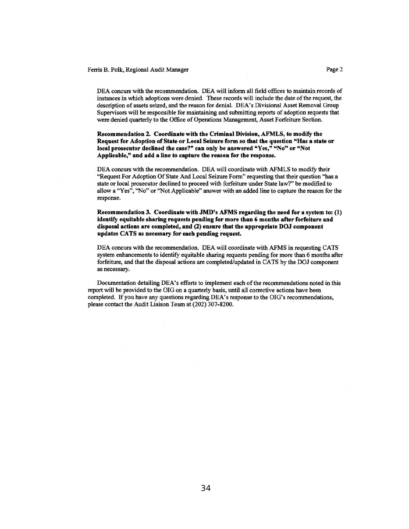#### Ferris B. Polk, Regional Audit Manager **Page 2** Page 2

DEA concurs with the recommendation. DEA will infonn all field offices to maintain records of instances in which adoptions were denied. These records will include the date of the request, the description of assets seized, and the reason for denial. DEA 's Divisional Asset Removal Group Supervisors will be responsible for maintaining and submitting reports of adoption requests that were denied quarterly to the Office of Operations Management, Asset Forfeiture Section.

Recommendation 2. Coordinate with the Criminal Division, AFMLS, to modify the Request for Adoption of State or Local Seizure form so that tbe question "Has a state or local prosecutor declined the case?" can only be answered "Yes," "No" or "Not Applicable," and add a line to capture the reason for the response.

DEA concurs with the recommendation. DEA will coordinate with AFMLS to modify their "Request For Adoption Of State And Local Seizure Fonn" requesting that their question "has a state or local prosecutor declined to proceed with forfeiture under State law?" be modified to allow a "Yes", "No" or "Not Applicable" answer with an added line to capture the reason for the response.

Recommendation 3. Coordinate with JMD's AFMS regarding the need for a system to:  $(1)$ identify equitable sharing requests pending for more than 6 months after forfeiture and disposal actions are completed, and (2) ensure tbat tbe appropriate DOJ component updates CATS as necessary for each pending request.

DEA concurs with the recommendation. DEA will coordinate with AFMS in requesting CATS system enhancements to identify equitable sharing requests pending for more than 6 months after forfeiture, and that the disposal actions are completed/updated in CATS by the DOJ component as necessary.

Documentation detailing DEA's efforts to implement each of the recommendations noted in this report will be provided to the OIG on a quarterly basis, until all corrective actions have been completed. If you have any questions regarding DEA's response to the OIG's recommendations. please contact the Audit Liaison Team at (202) 307-8200.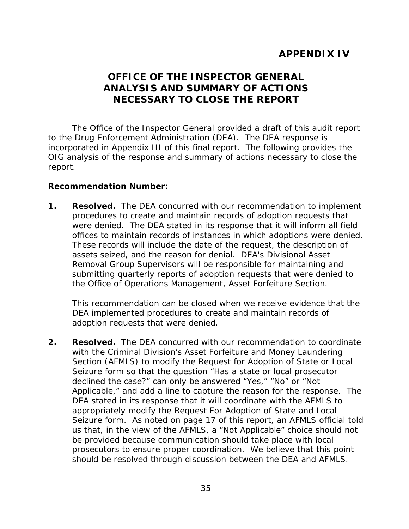### **APPENDIX IV**

### <span id="page-39-0"></span> **ANALYSIS AND SUMMARY OF ACTIONS NECESSARY TO CLOSE THE REPORT OFFICE OF THE INSPECTOR GENERAL**

<span id="page-39-2"></span><span id="page-39-1"></span> incorporated in Appendix III of this final report. The following provides the OIG analysis of the response and summary of actions necessary to close the The Office of the Inspector General provided a draft of this audit report to the Drug Enforcement Administration (DEA). The DEA response is report.

### **Recommendation Number:**

**1. Resolved.** The DEA concurred with our recommendation to implement were denied. The DEA stated in its response that it will inform all field submitting quarterly reports of adoption requests that were denied to procedures to create and maintain records of adoption requests that offices to maintain records of instances in which adoptions were denied. These records will include the date of the request, the description of assets seized, and the reason for denial. DEA's Divisional Asset Removal Group Supervisors will be responsible for maintaining and the Office of Operations Management, Asset Forfeiture Section.

This recommendation can be closed when we receive evidence that the DEA implemented procedures to create and maintain records of adoption requests that were denied.

 **2. Resolved.** The DEA concurred with our recommendation to coordinate DEA stated in its response that it will coordinate with the AFMLS to Seizure form. As noted on page 17 of this report, an AFMLS official told us that, in the view of the AFMLS, a "Not Applicable" choice should not prosecutors to ensure proper coordination. We believe that this point with the Criminal Division's Asset Forfeiture and Money Laundering Section (AFMLS) to modify the Request for Adoption of State or Local Seizure form so that the question "Has a state or local prosecutor declined the case?" can only be answered "Yes," "No" or "Not Applicable," and add a line to capture the reason for the response. The appropriately modify the Request For Adoption of State and Local be provided because communication should take place with local should be resolved through discussion between the DEA and AFMLS.